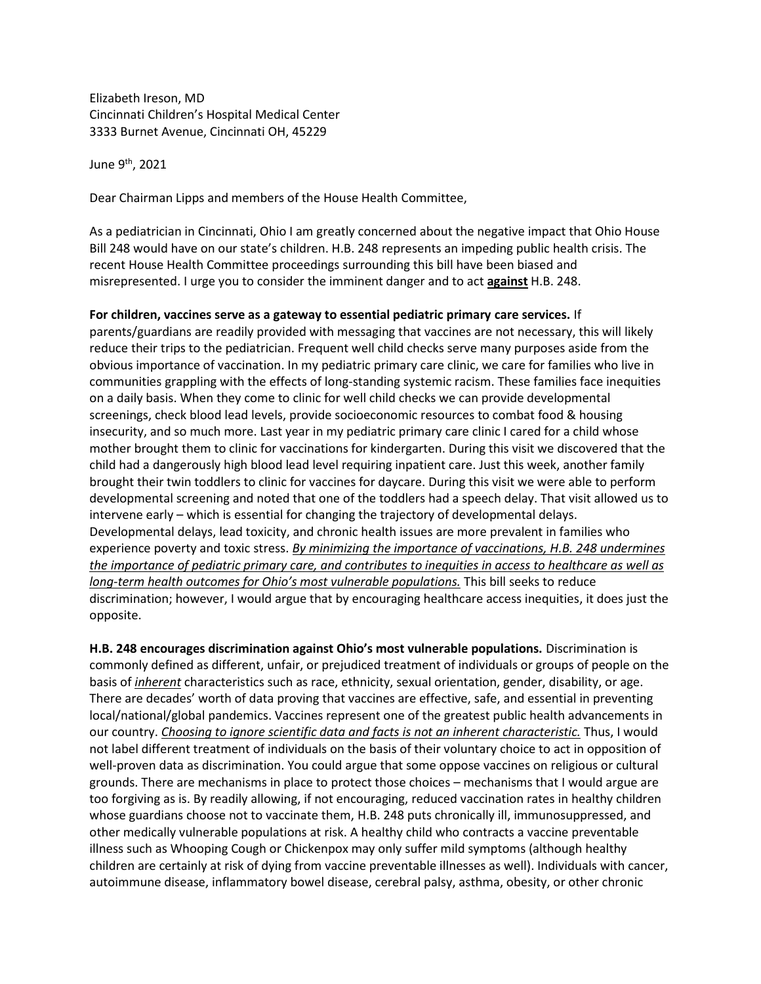Elizabeth Ireson, MD Cincinnati Children's Hospital Medical Center 3333 Burnet Avenue, Cincinnati OH, 45229

June 9th, 2021

Dear Chairman Lipps and members of the House Health Committee,

As a pediatrician in Cincinnati, Ohio I am greatly concerned about the negative impact that Ohio House Bill 248 would have on our state's children. H.B. 248 represents an impeding public health crisis. The recent House Health Committee proceedings surrounding this bill have been biased and misrepresented. I urge you to consider the imminent danger and to act **against** H.B. 248.

## **For children, vaccines serve as a gateway to essential pediatric primary care services.** If

parents/guardians are readily provided with messaging that vaccines are not necessary, this will likely reduce their trips to the pediatrician. Frequent well child checks serve many purposes aside from the obvious importance of vaccination. In my pediatric primary care clinic, we care for families who live in communities grappling with the effects of long-standing systemic racism. These families face inequities on a daily basis. When they come to clinic for well child checks we can provide developmental screenings, check blood lead levels, provide socioeconomic resources to combat food & housing insecurity, and so much more. Last year in my pediatric primary care clinic I cared for a child whose mother brought them to clinic for vaccinations for kindergarten. During this visit we discovered that the child had a dangerously high blood lead level requiring inpatient care. Just this week, another family brought their twin toddlers to clinic for vaccines for daycare. During this visit we were able to perform developmental screening and noted that one of the toddlers had a speech delay. That visit allowed us to intervene early – which is essential for changing the trajectory of developmental delays. Developmental delays, lead toxicity, and chronic health issues are more prevalent in families who experience poverty and toxic stress. *By minimizing the importance of vaccinations, H.B. 248 undermines the importance of pediatric primary care, and contributes to inequities in access to healthcare as well as long-term health outcomes for Ohio's most vulnerable populations.* This bill seeks to reduce discrimination; however, I would argue that by encouraging healthcare access inequities, it does just the opposite.

**H.B. 248 encourages discrimination against Ohio's most vulnerable populations.** Discrimination is commonly defined as different, unfair, or prejudiced treatment of individuals or groups of people on the basis of *inherent* characteristics such as race, ethnicity, sexual orientation, gender, disability, or age. There are decades' worth of data proving that vaccines are effective, safe, and essential in preventing local/national/global pandemics. Vaccines represent one of the greatest public health advancements in our country. *Choosing to ignore scientific data and facts is not an inherent characteristic.* Thus, I would not label different treatment of individuals on the basis of their voluntary choice to act in opposition of well-proven data as discrimination. You could argue that some oppose vaccines on religious or cultural grounds. There are mechanisms in place to protect those choices – mechanisms that I would argue are too forgiving as is. By readily allowing, if not encouraging, reduced vaccination rates in healthy children whose guardians choose not to vaccinate them, H.B. 248 puts chronically ill, immunosuppressed, and other medically vulnerable populations at risk. A healthy child who contracts a vaccine preventable illness such as Whooping Cough or Chickenpox may only suffer mild symptoms (although healthy children are certainly at risk of dying from vaccine preventable illnesses as well). Individuals with cancer, autoimmune disease, inflammatory bowel disease, cerebral palsy, asthma, obesity, or other chronic